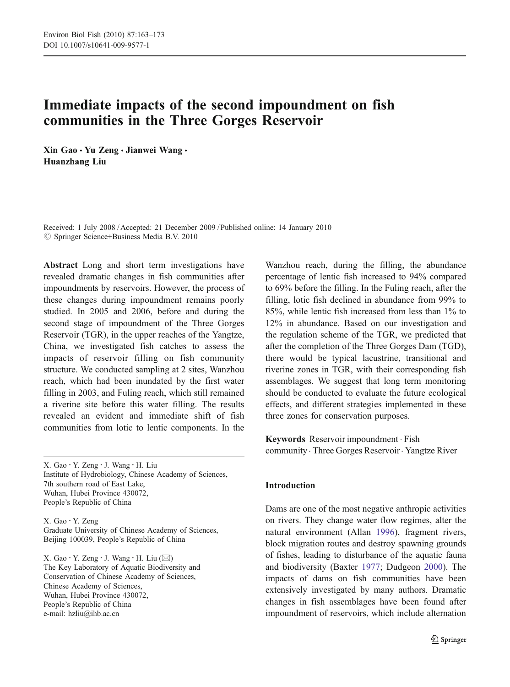# Immediate impacts of the second impoundment on fish communities in the Three Gorges Reservoir

Xin Gao · Yu Zeng · Jianwei Wang · Huanzhang Liu

Received: 1 July 2008 /Accepted: 21 December 2009 / Published online: 14 January 2010  $\oslash$  Springer Science+Business Media B.V. 2010

Abstract Long and short term investigations have revealed dramatic changes in fish communities after impoundments by reservoirs. However, the process of these changes during impoundment remains poorly studied. In 2005 and 2006, before and during the second stage of impoundment of the Three Gorges Reservoir (TGR), in the upper reaches of the Yangtze, China, we investigated fish catches to assess the impacts of reservoir filling on fish community structure. We conducted sampling at 2 sites, Wanzhou reach, which had been inundated by the first water filling in 2003, and Fuling reach, which still remained a riverine site before this water filling. The results revealed an evident and immediate shift of fish communities from lotic to lentic components. In the

X. Gao : Y. Zeng : J. Wang : H. Liu Institute of Hydrobiology, Chinese Academy of Sciences, 7th southern road of East Lake, Wuhan, Hubei Province 430072, People's Republic of China

X. Gao : Y. Zeng Graduate University of Chinese Academy of Sciences, Beijing 100039, People's Republic of China

X. Gao : Y. Zeng : J. Wang : H. Liu (*\**) The Key Laboratory of Aquatic Biodiversity and Conservation of Chinese Academy of Sciences, Chinese Academy of Sciences, Wuhan, Hubei Province 430072, People's Republic of China e-mail: hzliu@ihb.ac.cn

Wanzhou reach, during the filling, the abundance percentage of lentic fish increased to 94% compared to 69% before the filling. In the Fuling reach, after the filling, lotic fish declined in abundance from 99% to 85%, while lentic fish increased from less than 1% to 12% in abundance. Based on our investigation and the regulation scheme of the TGR, we predicted that after the completion of the Three Gorges Dam (TGD), there would be typical lacustrine, transitional and riverine zones in TGR, with their corresponding fish assemblages. We suggest that long term monitoring should be conducted to evaluate the future ecological effects, and different strategies implemented in these three zones for conservation purposes.

Keywords Reservoir impoundment . Fish community. Three Gorges Reservoir. Yangtze River

# Introduction

Dams are one of the most negative anthropic activities on rivers. They change water flow regimes, alter the natural environment (Allan [1996](#page-10-0)), fragment rivers, block migration routes and destroy spawning grounds of fishes, leading to disturbance of the aquatic fauna and biodiversity (Baxter [1977;](#page-10-0) Dudgeon [2000](#page-10-0)). The impacts of dams on fish communities have been extensively investigated by many authors. Dramatic changes in fish assemblages have been found after impoundment of reservoirs, which include alternation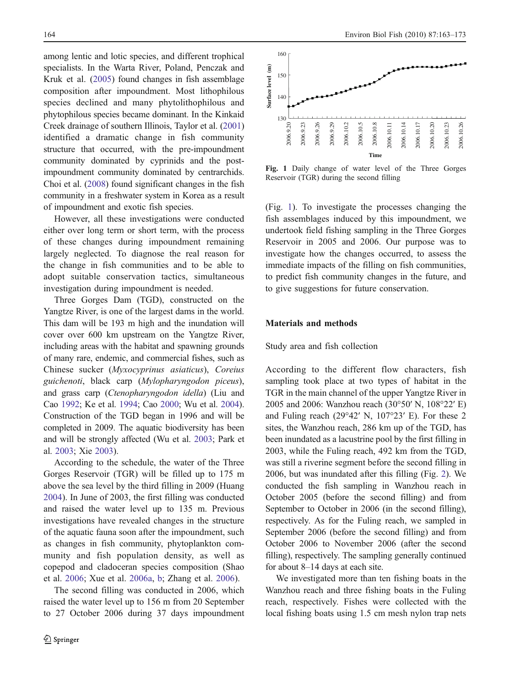among lentic and lotic species, and different trophical specialists. In the Warta River, Poland, Penczak and Kruk et al. ([2005\)](#page-10-0) found changes in fish assemblage composition after impoundment. Most lithophilous species declined and many phytolithophilous and phytophilous species became dominant. In the Kinkaid Creek drainage of southern Illinois, Taylor et al. [\(2001\)](#page-10-0) identified a dramatic change in fish community structure that occurred, with the pre-impoundment community dominated by cyprinids and the postimpoundment community dominated by centrarchids. Choi et al. ([2008](#page-10-0)) found significant changes in the fish community in a freshwater system in Korea as a result of impoundment and exotic fish species.

However, all these investigations were conducted either over long term or short term, with the process of these changes during impoundment remaining largely neglected. To diagnose the real reason for the change in fish communities and to be able to adopt suitable conservation tactics, simultaneous investigation during impoundment is needed.

Three Gorges Dam (TGD), constructed on the Yangtze River, is one of the largest dams in the world. This dam will be 193 m high and the inundation will cover over 600 km upstream on the Yangtze River, including areas with the habitat and spawning grounds of many rare, endemic, and commercial fishes, such as Chinese sucker (Myxocyprinus asiaticus), Coreius guichenoti, black carp (Mylopharyngodon piceus), and grass carp (Ctenopharyngodon idella) (Liu and Cao [1992](#page-10-0); Ke et al. [1994;](#page-10-0) Cao [2000;](#page-10-0) Wu et al. [2004\)](#page-10-0). Construction of the TGD began in 1996 and will be completed in 2009. The aquatic biodiversity has been and will be strongly affected (Wu et al. [2003;](#page-10-0) Park et al. [2003;](#page-10-0) Xie [2003\)](#page-10-0).

According to the schedule, the water of the Three Gorges Reservoir (TGR) will be filled up to 175 m above the sea level by the third filling in 2009 (Huang [2004\)](#page-10-0). In June of 2003, the first filling was conducted and raised the water level up to 135 m. Previous investigations have revealed changes in the structure of the aquatic fauna soon after the impoundment, such as changes in fish community, phytoplankton community and fish population density, as well as copepod and cladoceran species composition (Shao et al. [2006;](#page-10-0) Xue et al. [2006a](#page-10-0), [b](#page-10-0); Zhang et al. [2006\)](#page-10-0).

The second filling was conducted in 2006, which raised the water level up to 156 m from 20 September to 27 October 2006 during 37 days impoundment



Fig. 1 Daily change of water level of the Three Gorges Reservoir (TGR) during the second filling

(Fig. 1). To investigate the processes changing the fish assemblages induced by this impoundment, we undertook field fishing sampling in the Three Gorges Reservoir in 2005 and 2006. Our purpose was to investigate how the changes occurred, to assess the immediate impacts of the filling on fish communities, to predict fish community changes in the future, and to give suggestions for future conservation.

# Materials and methods

# Study area and fish collection

According to the different flow characters, fish sampling took place at two types of habitat in the TGR in the main channel of the upper Yangtze River in 2005 and 2006: Wanzhou reach (30°50′ N, 108°22′ E) and Fuling reach (29°42′ N, 107°23′ E). For these 2 sites, the Wanzhou reach, 286 km up of the TGD, has been inundated as a lacustrine pool by the first filling in 2003, while the Fuling reach, 492 km from the TGD, was still a riverine segment before the second filling in 2006, but was inundated after this filling (Fig. [2\)](#page-2-0). We conducted the fish sampling in Wanzhou reach in October 2005 (before the second filling) and from September to October in 2006 (in the second filling), respectively. As for the Fuling reach, we sampled in September 2006 (before the second filling) and from October 2006 to November 2006 (after the second filling), respectively. The sampling generally continued for about 8–14 days at each site.

We investigated more than ten fishing boats in the Wanzhou reach and three fishing boats in the Fuling reach, respectively. Fishes were collected with the local fishing boats using 1.5 cm mesh nylon trap nets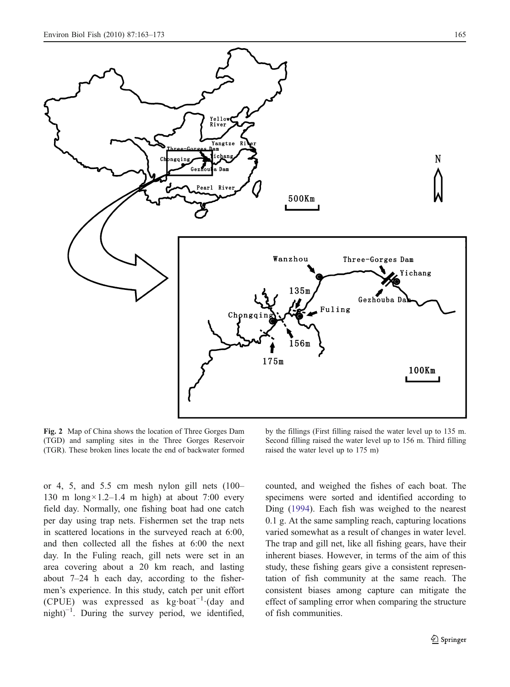<span id="page-2-0"></span>

Fig. 2 Map of China shows the location of Three Gorges Dam (TGD) and sampling sites in the Three Gorges Reservoir (TGR). These broken lines locate the end of backwater formed

by the fillings (First filling raised the water level up to 135 m. Second filling raised the water level up to 156 m. Third filling raised the water level up to 175 m)

or 4, 5, and 5.5 cm mesh nylon gill nets (100– 130 m  $long \times 1.2 - 1.4$  m high) at about 7:00 every field day. Normally, one fishing boat had one catch per day using trap nets. Fishermen set the trap nets in scattered locations in the surveyed reach at 6:00, and then collected all the fishes at 6:00 the next day. In the Fuling reach, gill nets were set in an area covering about a 20 km reach, and lasting about 7–24 h each day, according to the fishermen's experience. In this study, catch per unit effort (CPUE) was expressed as kg·boat−<sup>1</sup> ·(day and night)<sup>-1</sup>. During the survey period, we identified,

counted, and weighed the fishes of each boat. The specimens were sorted and identified according to Ding [\(1994](#page-10-0)). Each fish was weighed to the nearest 0.1 g. At the same sampling reach, capturing locations varied somewhat as a result of changes in water level. The trap and gill net, like all fishing gears, have their inherent biases. However, in terms of the aim of this study, these fishing gears give a consistent representation of fish community at the same reach. The consistent biases among capture can mitigate the effect of sampling error when comparing the structure of fish communities.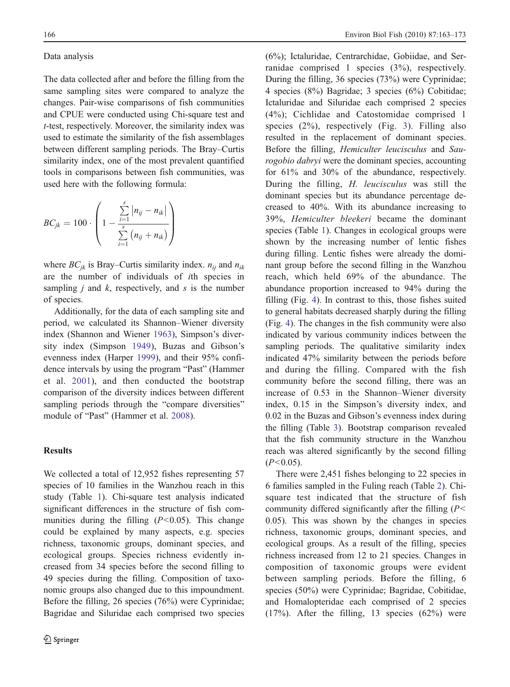#### Data analysis

The data collected after and before the filling from the same sampling sites were compared to analyze the changes. Pair-wise comparisons of fish communities and CPUE were conducted using Chi-square test and t-test, respectively. Moreover, the similarity index was used to estimate the similarity of the fish assemblages between different sampling periods. The Bray–Curtis similarity index, one of the most prevalent quantified tools in comparisons between fish communities, was used here with the following formula:

$$
BC_{jk} = 100 \cdot \left( 1 - \frac{\sum_{i=1}^{s} |n_{ij} - n_{ik}|}{\sum_{i=1}^{s} (n_{ij} + n_{ik})} \right)
$$

where  $BC_{jk}$  is Bray–Curtis similarity index.  $n_{ij}$  and  $n_{ik}$ are the number of individuals of ith species in sampling  $j$  and  $k$ , respectively, and  $s$  is the number of species.

Additionally, for the data of each sampling site and period, we calculated its Shannon–Wiener diversity index (Shannon and Wiener [1963](#page-10-0)), Simpson's diversity index (Simpson [1949](#page-10-0)), Buzas and Gibson's evenness index (Harper [1999\)](#page-10-0), and their 95% confidence intervals by using the program "Past" (Hammer et al. [2001\)](#page-10-0), and then conducted the bootstrap comparison of the diversity indices between different sampling periods through the "compare diversities" module of "Past" (Hammer et al. [2008\)](#page-10-0).

## Results

We collected a total of 12,952 fishes representing 57 species of 10 families in the Wanzhou reach in this study (Table [1](#page-5-0)). Chi-square test analysis indicated significant differences in the structure of fish communities during the filling  $(P<0.05)$ . This change could be explained by many aspects, e.g. species richness, taxonomic groups, dominant species, and ecological groups. Species richness evidently increased from 34 species before the second filling to 49 species during the filling. Composition of taxonomic groups also changed due to this impoundment. Before the filling, 26 species (76%) were Cyprinidae; Bagridae and Siluridae each comprised two species (6%); Ictaluridae, Centrarchidae, Gobiidae, and Serranidae comprised 1 species (3%), respectively. During the filling, 36 species (73%) were Cyprinidae; 4 species (8%) Bagridae; 3 species (6%) Cobitidae; Ictaluridae and Siluridae each comprised 2 species (4%); Cichlidae and Catostomidae comprised 1 species (2%), respectively (Fig. [3\)](#page-7-0). Filling also resulted in the replacement of dominant species. Before the filling, Hemiculter leucisculus and Saurogobio dabryi were the dominant species, accounting for 61% and 30% of the abundance, respectively. During the filling, H. leucisculus was still the dominant species but its abundance percentage decreased to 40%. With its abundance increasing to 39%, Hemiculter bleekeri became the dominant species (Table [1\)](#page-5-0). Changes in ecological groups were shown by the increasing number of lentic fishes during filling. Lentic fishes were already the dominant group before the second filling in the Wanzhou reach, which held 69% of the abundance. The abundance proportion increased to 94% during the filling (Fig. [4\)](#page-7-0). In contrast to this, those fishes suited to general habitats decreased sharply during the filling (Fig. [4](#page-7-0)). The changes in the fish community were also indicated by various community indices between the sampling periods. The qualitative similarity index indicated 47% similarity between the periods before and during the filling. Compared with the fish community before the second filling, there was an increase of 0.53 in the Shannon–Wiener diversity index, 0.15 in the Simpson's diversity index, and 0.02 in the Buzas and Gibson's evenness index during the filling (Table [3\)](#page-9-0). Bootstrap comparison revealed that the fish community structure in the Wanzhou reach was altered significantly by the second filling  $(P<0.05)$ .

There were 2,451 fishes belonging to 22 species in 6 families sampled in the Fuling reach (Table [2](#page-8-0)). Chisquare test indicated that the structure of fish community differed significantly after the filling  $(P<$ 0.05). This was shown by the changes in species richness, taxonomic groups, dominant species, and ecological groups. As a result of the filling, species richness increased from 12 to 21 species. Changes in composition of taxonomic groups were evident between sampling periods. Before the filling, 6 species (50%) were Cyprinidae; Bagridae, Cobitidae, and Homalopteridae each comprised of 2 species  $(17%)$ . After the filling, 13 species  $(62%)$  were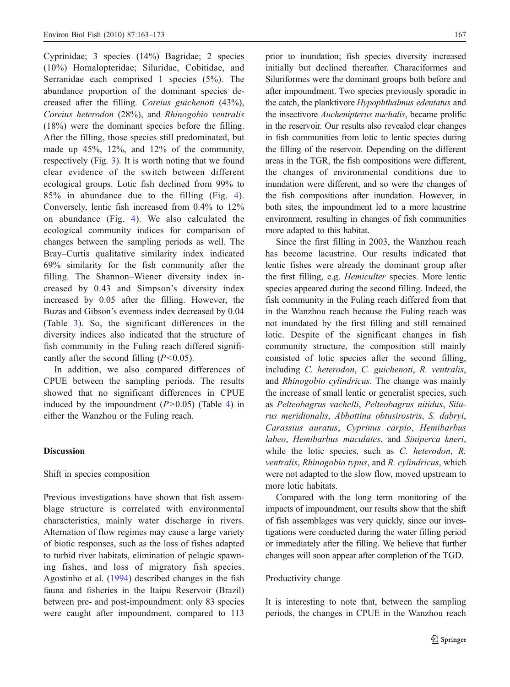Cyprinidae; 3 species (14%) Bagridae; 2 species (10%) Homalopteridae; Siluridae, Cobitidae, and Serranidae each comprised 1 species (5%). The abundance proportion of the dominant species decreased after the filling. Coreius guichenoti (43%), Coreius heterodon (28%), and Rhinogobio ventralis (18%) were the dominant species before the filling. After the filling, those species still predominated, but made up 45%, 12%, and 12% of the community, respectively (Fig. [3](#page-7-0)). It is worth noting that we found clear evidence of the switch between different ecological groups. Lotic fish declined from 99% to 85% in abundance due to the filling (Fig. [4](#page-7-0)). Conversely, lentic fish increased from 0.4% to 12% on abundance (Fig. [4\)](#page-7-0). We also calculated the ecological community indices for comparison of changes between the sampling periods as well. The Bray–Curtis qualitative similarity index indicated 69% similarity for the fish community after the filling. The Shannon–Wiener diversity index increased by 0.43 and Simpson's diversity index increased by 0.05 after the filling. However, the Buzas and Gibson's evenness index decreased by 0.04 (Table [3](#page-9-0)). So, the significant differences in the diversity indices also indicated that the structure of fish community in the Fuling reach differed significantly after the second filling  $(P<0.05)$ .

In addition, we also compared differences of CPUE between the sampling periods. The results showed that no significant differences in CPUE induced by the impoundment  $(P>0.05)$  (Table [4](#page-9-0)) in either the Wanzhou or the Fuling reach.

# Discussion

#### Shift in species composition

Previous investigations have shown that fish assemblage structure is correlated with environmental characteristics, mainly water discharge in rivers. Alternation of flow regimes may cause a large variety of biotic responses, such as the loss of fishes adapted to turbid river habitats, elimination of pelagic spawning fishes, and loss of migratory fish species. Agostinho et al. [\(1994\)](#page-10-0) described changes in the fish fauna and fisheries in the Itaipu Reservoir (Brazil) between pre- and post-impoundment: only 83 species were caught after impoundment, compared to 113 prior to inundation; fish species diversity increased initially but declined thereafter. Characiformes and Siluriformes were the dominant groups both before and after impoundment. Two species previously sporadic in the catch, the planktivore Hypophthalmus edentatus and the insectivore Auchenipterus nuchalis, became prolific in the reservoir. Our results also revealed clear changes in fish communities from lotic to lentic species during the filling of the reservoir. Depending on the different areas in the TGR, the fish compositions were different, the changes of environmental conditions due to inundation were different, and so were the changes of the fish compositions after inundation. However, in both sites, the impoundment led to a more lacustrine environment, resulting in changes of fish communities more adapted to this habitat.

Since the first filling in 2003, the Wanzhou reach has become lacustrine. Our results indicated that lentic fishes were already the dominant group after the first filling, e.g. Hemiculter species. More lentic species appeared during the second filling. Indeed, the fish community in the Fuling reach differed from that in the Wanzhou reach because the Fuling reach was not inundated by the first filling and still remained lotic. Despite of the significant changes in fish community structure, the composition still mainly consisted of lotic species after the second filling, including C. heterodon, C. guichenoti, R. ventralis, and Rhinogobio cylindricus. The change was mainly the increase of small lentic or generalist species, such as Pelteobagrus vachelli, Pelteobagrus nitidus, Silurus meridionalis, Abbottina obtusirostris, S. dabryi, Carassius auratus, Cyprinus carpio, Hemibarbus labeo, Hemibarbus maculates, and Siniperca kneri, while the lotic species, such as C. heterodon, R. ventralis, Rhinogobio typus, and R. cylindricus, which were not adapted to the slow flow, moved upstream to more lotic habitats.

Compared with the long term monitoring of the impacts of impoundment, our results show that the shift of fish assemblages was very quickly, since our investigations were conducted during the water filling period or immediately after the filling. We believe that further changes will soon appear after completion of the TGD.

#### Productivity change

It is interesting to note that, between the sampling periods, the changes in CPUE in the Wanzhou reach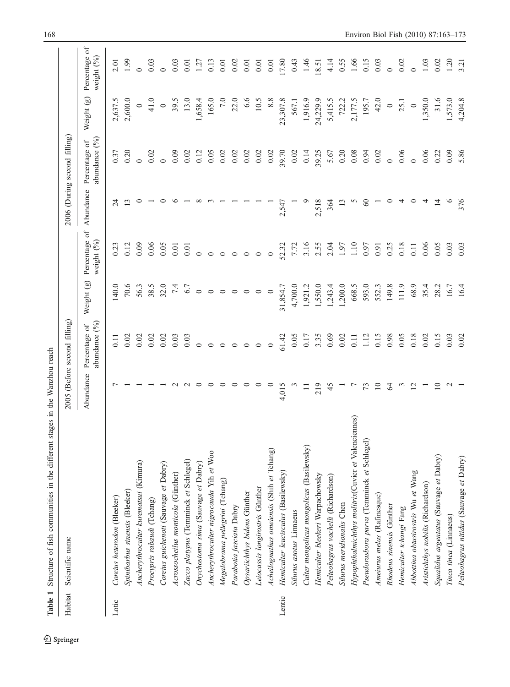<span id="page-5-0"></span>

| Habitat | Scientific name                                                              |           | 2005 (Before second filling)       |            |                             |              | 2006 (During second filling)                     |            |                                                  |
|---------|------------------------------------------------------------------------------|-----------|------------------------------------|------------|-----------------------------|--------------|--------------------------------------------------|------------|--------------------------------------------------|
|         |                                                                              | Abundance | abundance $(9/6)$<br>Percentage of | Weight (g) | Percentage of<br>weight (%) | Abundance    | abundance $(%$ <sub>0</sub> )<br>Percentage of   | Weight (g) | Percentage of<br>weight (%)                      |
| Lotic   | Coreius heterodon (Bleeker)                                                  |           | $\overline{0}$                     | 40.0       | 0.23                        |              | 0.37                                             | 2,637.5    | 2.01                                             |
|         | Spinibarbus sinensis (Bleeker)                                               |           | 0.02                               | 70.6       | 0.12                        | $\mathbf{r}$ | 0.20                                             | 2,600.0    | 1.99                                             |
|         | Ancherythroculter kurematsui (Kimura                                         |           | 0.02                               | 56.3       | 0.09                        |              |                                                  |            |                                                  |
|         | Procypris rabaudi (Tchang)                                                   |           | 0.02                               | 38.5       | 0.06                        |              | $\begin{smallmatrix}0&&0\&0.02\end{smallmatrix}$ | 41.0       | $\begin{smallmatrix}0&&0\0&0&0\end{smallmatrix}$ |
|         | Coreius guichenoti (Sauvage et Dabry)                                        |           | 0.02                               | 32.0       | 0.05                        |              |                                                  | $\circ$    |                                                  |
|         | Acrossocheilus monticola (Günther)                                           |           | 0.03                               |            | 0.01                        |              | 0.09                                             | 39.5       | 0.03                                             |
|         |                                                                              |           | 0.03                               | 6.7        | 0.01                        |              | 0.02                                             | 13.0       | 0.01                                             |
|         | Zacco platypus (Temminck et Schlegel)<br>Onychostoma sima (Sauvage et Dabry) |           | $\circ$                            | $\circ$    |                             |              |                                                  | 1,658.4    | 1.27                                             |
|         | Woo<br>Ancherythroculter nigrocauda Yih et                                   |           | $\circ$                            | 0          | $\circ$                     |              | $\frac{0.12}{0.05}$                              | 165.0      | 0.13                                             |
|         | Megalobrama pellegrini (Tchang)                                              |           | $\circ$                            | $\circ$    | $\circ$                     |              | 0.02                                             | 7.0        | 0.01                                             |
|         | Parabotia fasciata Dabry                                                     |           | $\circ$                            | $\circ$    | $\circ$                     |              | 0.02                                             | 22.0       | 0.02                                             |
|         | Opsariichthys bidens Günther                                                 |           | $\circ$                            | $\circ$    | $\circ$                     |              | 0.02                                             | 6.6        | 0.01                                             |
|         | Leiocassis longirostris Günther                                              |           | $\circ$                            | $\circ$    |                             |              | 0.02                                             | 10.5       | 0.01                                             |
|         | Acheilognathus omeiensis (Shih et Tchang)                                    |           | $\circ$                            | $\circ$    |                             |              | 0.02                                             | 8.8        | 0.01                                             |
| Lentic  | Hemiculter leucisculus (Basilewsky)                                          | 4,015     | 61.42                              | 31,854.7   | 52.32                       | 2,547        | 39.70                                            | 23,307.8   | 17.80                                            |
|         | Silurus asotus Linnaeus                                                      |           | 0.05                               | 4,700.0    | 7.72                        |              | 0.02                                             | 567.1      | 0.43                                             |
|         | Culter mongolicus mongolicus (Basilewsky)                                    | $\equiv$  | 0.17                               | 1,921.2    | 3.16                        |              | 0.14                                             | 1,916.9    | 1.46                                             |
|         | Hemiculter bleekeri Warpachowsky                                             | 219       | 3.35                               | 1,550.0    | 2.55                        | 2,518        | 39.25                                            | 24,229.9   | 18.51                                            |
|         | Pelteobagrus vachelli (Richardson)                                           | 45        | 0.69                               | 1,243.4    | 2.04                        | 364          | 5.67                                             | 5,415.5    | 4.14                                             |
|         | Silurus meridionalis Chen                                                    |           | 0.02                               | 1,200.0    | 1.97                        | $\Xi$        | 0.20                                             | 722.2      | 0.55                                             |
|         | Hypophthalmichthys molitrix(Cuvier et Valenciennes)                          |           | $\overline{0}$                     | 668.5      | 1.10                        |              | 0.08                                             | 2,177.5    | 1.66                                             |
|         | Pseudorasbora parva (Temminck et Schlegel)                                   |           | 1.12                               | 593.0      | 0.97                        | 8            | 0.94                                             | 195.7      | 0.15                                             |
|         | Ameiurus melas (Rafinesque)                                                  |           | 0.15                               | 552.3      | 0.91                        |              | 0.02                                             | 42.0       | 0.03                                             |
|         | Rhodeus sinensis Günther                                                     | 2         | 0.98                               | 149.8      | 0.25                        |              |                                                  | $\circ$    |                                                  |
|         | Hemiculter tchangi Fang                                                      |           | 0.05                               | 111.9      | 0.18                        |              | $\frac{6}{6}$                                    | 25.1       | 0.02                                             |
|         | Abbottina obtusirostris Wu et Wang                                           | Ŋ         | 0.18                               | 68.9       | 0.11                        |              |                                                  | $\circ$    |                                                  |
|         | Aristichthys nobilis (Richardson)                                            |           | 0.02                               | 35.4       | 0.06                        |              | 0.06                                             | 1,350.0    | 1.03                                             |
|         | Squalidus argentatus (Sauvage et Dabry)                                      | ≘         | 0.15                               | 28.2       | 0.05                        |              | 0.22                                             | 31.6       | 0.02                                             |
|         | Tinca tinca (Linnaeus)                                                       |           | 0.03                               | 16.7       | 0.03                        |              | 0.09                                             | 1,573.0    | 1.20                                             |
|         | Pelteobagrus nitidus (Sauvage et Dabry)                                      |           | 0.02                               | 16.4       | 0.03                        | 376          | 5.86                                             | 4,204.8    | 3.21                                             |

 $\mathcal{D}$  Springer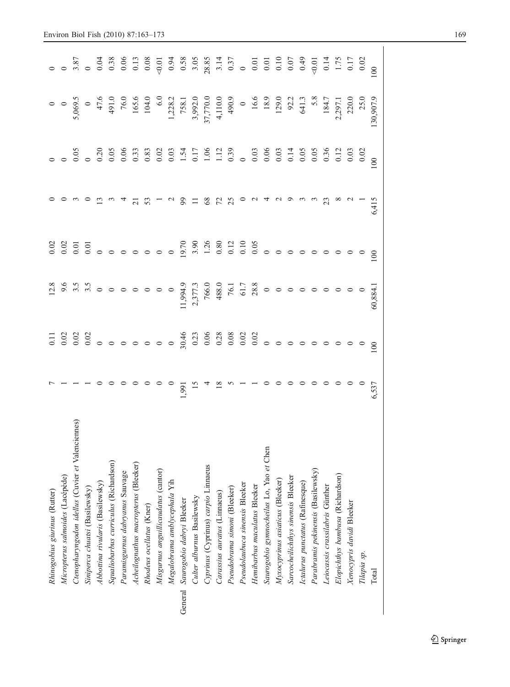| Rhinogobius giurinus (Rutter)                                                                                    |  |  |                                                                       |                                                                                                                                                                                                                                                                  |  |
|------------------------------------------------------------------------------------------------------------------|--|--|-----------------------------------------------------------------------|------------------------------------------------------------------------------------------------------------------------------------------------------------------------------------------------------------------------------------------------------------------|--|
| Micropterus salmoides (Lacépède)                                                                                 |  |  |                                                                       |                                                                                                                                                                                                                                                                  |  |
| Ctenopharyngodon idellus (Cuvier et Valenciennes)                                                                |  |  |                                                                       |                                                                                                                                                                                                                                                                  |  |
| Siniperca chuatsi (Basilewsky)                                                                                   |  |  |                                                                       |                                                                                                                                                                                                                                                                  |  |
| Abbottina rivularis (Basilewsky)                                                                                 |  |  |                                                                       |                                                                                                                                                                                                                                                                  |  |
| Squaliobarbus curriculus (Richardson)<br>Paramisgurnus dabryanus Sauvage<br>Acheilognathus macropterus (Bleeker) |  |  |                                                                       |                                                                                                                                                                                                                                                                  |  |
|                                                                                                                  |  |  |                                                                       |                                                                                                                                                                                                                                                                  |  |
|                                                                                                                  |  |  |                                                                       |                                                                                                                                                                                                                                                                  |  |
| Rhodeus ocellatus (Kner)                                                                                         |  |  |                                                                       |                                                                                                                                                                                                                                                                  |  |
| Misgurnus anguillicaudatus (cantor)                                                                              |  |  |                                                                       |                                                                                                                                                                                                                                                                  |  |
| Megalobrama amblycephala Yih                                                                                     |  |  |                                                                       |                                                                                                                                                                                                                                                                  |  |
| General Saurogobio dabryi Bleeker                                                                                |  |  |                                                                       |                                                                                                                                                                                                                                                                  |  |
| Culter alburnus Basilewsky                                                                                       |  |  | oowonwatwang Igrad aan awwaan tir<br>oowonwatwang Igrad aan awwad tir |                                                                                                                                                                                                                                                                  |  |
| Cyprinus (Cyprinus) carpio Linnaeus                                                                              |  |  |                                                                       |                                                                                                                                                                                                                                                                  |  |
| Carassius auratus (Linnaeus)                                                                                     |  |  |                                                                       |                                                                                                                                                                                                                                                                  |  |
| Pseudobrama simoni (Bleeker)                                                                                     |  |  |                                                                       |                                                                                                                                                                                                                                                                  |  |
| Pseudolaubuca sinensis Bleeker                                                                                   |  |  |                                                                       |                                                                                                                                                                                                                                                                  |  |
| Hemibarbus maculatus Bleeker                                                                                     |  |  |                                                                       |                                                                                                                                                                                                                                                                  |  |
| Chen<br>Saurogobio gymnocheilus Lo, Yao et                                                                       |  |  |                                                                       |                                                                                                                                                                                                                                                                  |  |
| Myxocyprinus asiaticus (Bleeker)                                                                                 |  |  |                                                                       |                                                                                                                                                                                                                                                                  |  |
| Sarcocheilichthys sinensis Bleeker                                                                               |  |  |                                                                       |                                                                                                                                                                                                                                                                  |  |
| Ictalurus punctatus (Rafinesque)                                                                                 |  |  |                                                                       |                                                                                                                                                                                                                                                                  |  |
| Parabramis pekinensis (Basilewsky)                                                                               |  |  |                                                                       |                                                                                                                                                                                                                                                                  |  |
| Leiocassis crassilabris Günther                                                                                  |  |  |                                                                       |                                                                                                                                                                                                                                                                  |  |
| Elopichthys bambusa (Richardson)                                                                                 |  |  |                                                                       |                                                                                                                                                                                                                                                                  |  |
| Xenocypris davidi Bleeker                                                                                        |  |  |                                                                       |                                                                                                                                                                                                                                                                  |  |
| Tilapia sp.                                                                                                      |  |  |                                                                       |                                                                                                                                                                                                                                                                  |  |
| Total                                                                                                            |  |  |                                                                       | $\begin{array}{cccc} 0&0&0&0\\ 0&0&0&0\\ 0&0&0&0\\ 0&0&0&0\\ 0&0&0&0\\ 1&0&0&0\\ 1&0&0&0\\ 1&0&0&0\\ 1&0&0&0\\ 1&0&0&0\\ 1&0&0&0\\ 1&0&0&0\\ 1&0&0&0\\ 1&0&0&0\\ 1&0&0&0\\ 1&0&0&0\\ 1&0&0&0\\ 1&0&0&0\\ 1&0&0&0\\ 1&0&0&0&0\\ 1&0&0&0&0\\ 1&0&0&0&0\\ 1&0&0&0&$ |  |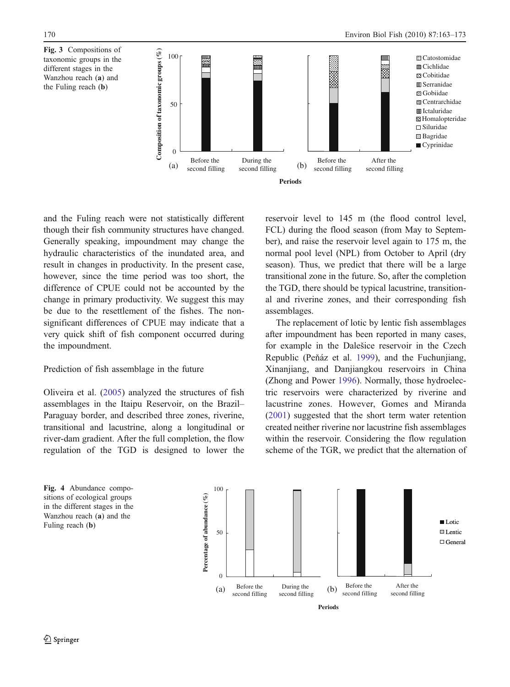<span id="page-7-0"></span>Fig. 3 Compositions of taxonomic groups in the different stages in the Wanzhou reach (a) and the Fuling reach (b)



and the Fuling reach were not statistically different though their fish community structures have changed. Generally speaking, impoundment may change the hydraulic characteristics of the inundated area, and result in changes in productivity. In the present case, however, since the time period was too short, the difference of CPUE could not be accounted by the change in primary productivity. We suggest this may be due to the resettlement of the fishes. The nonsignificant differences of CPUE may indicate that a very quick shift of fish component occurred during the impoundment.

## Prediction of fish assemblage in the future

Oliveira et al. ([2005\)](#page-10-0) analyzed the structures of fish assemblages in the Itaipu Reservoir, on the Brazil– Paraguay border, and described three zones, riverine, transitional and lacustrine, along a longitudinal or river-dam gradient. After the full completion, the flow regulation of the TGD is designed to lower the reservoir level to 145 m (the flood control level, FCL) during the flood season (from May to September), and raise the reservoir level again to 175 m, the normal pool level (NPL) from October to April (dry season). Thus, we predict that there will be a large transitional zone in the future. So, after the completion the TGD, there should be typical lacustrine, transitional and riverine zones, and their corresponding fish assemblages.

The replacement of lotic by lentic fish assemblages after impoundment has been reported in many cases, for example in the Dalešice reservoir in the Czech Republic (Peňáz et al. [1999](#page-10-0)), and the Fuchunjiang, Xinanjiang, and Danjiangkou reservoirs in China (Zhong and Power [1996\)](#page-10-0). Normally, those hydroelectric reservoirs were characterized by riverine and lacustrine zones. However, Gomes and Miranda [\(2001](#page-10-0)) suggested that the short term water retention created neither riverine nor lacustrine fish assemblages within the reservoir. Considering the flow regulation scheme of the TGR, we predict that the alternation of

Fig. 4 Abundance compositions of ecological groups in the different stages in the Wanzhou reach (a) and the Fuling reach (b)

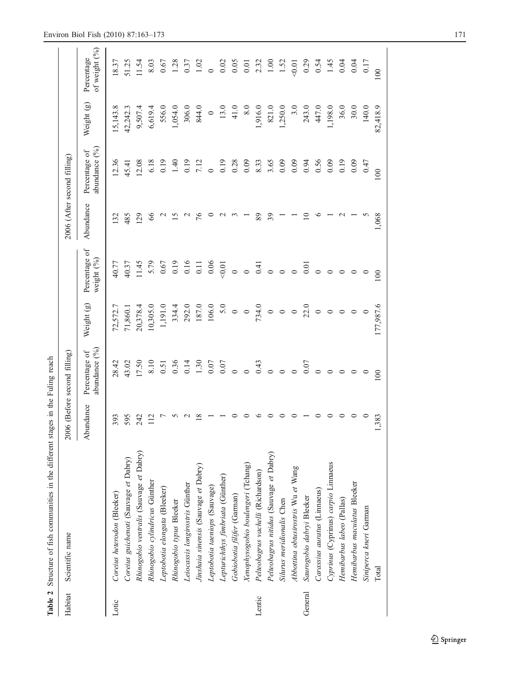|         | Table 2 Structure of fish communities in the different stages in the Fuling reach |           |                                |                 |                                             |           |                                |            |                                                             |
|---------|-----------------------------------------------------------------------------------|-----------|--------------------------------|-----------------|---------------------------------------------|-----------|--------------------------------|------------|-------------------------------------------------------------|
| Habitat | Scientific name                                                                   |           | 2006 (Before second filling)   |                 |                                             |           | 2006 (After second filling)    |            |                                                             |
|         |                                                                                   | Abundance | abundance (%)<br>Percentage of | Weight (g)      | Percentage of<br>weight $(%)$               | Abundance | abundance (%)<br>Percentage of | Weight (g) | of weight $(%)$<br>Percentage                               |
| Lotic   | Coreius heterodon (Bleeker)                                                       | 393       | 28.42                          | 72,572.7        | 40.77                                       | 132       | 12.36                          | 5,143.8    | 18.37                                                       |
|         | Coreius guichenoti (Sauvage et Dabry)                                             | 595       | 43.02                          | 71,860.1        | 40.37                                       | 485       | 45.41                          | 42,242.3   | 51.25                                                       |
|         | Rhinogobio ventralis (Sauvage et Dabry)                                           | 242       | 17.50                          | 20,378.4        | 11.45                                       | 129       | 2.08                           | 9,507.4    | 11.54                                                       |
|         | Rhinogobio cylindricus Günther                                                    | 112       | 8.10                           | 10,305.0        | 5.79                                        | 66        | 6.18                           | 6,619.4    | 8.03                                                        |
|         | Leptobotia elongata (Bleeker)                                                     |           | 0.51                           | 1,191.0         | 0.67                                        | $\sim$    | 0.19                           | 556.0      | 0.67                                                        |
|         | Rhinogobio typus Bleeker                                                          |           | 0.36                           | 334.4           | 0.19                                        | 51        | 1.40                           | 1,054.0    |                                                             |
|         | Leiocassis longirostris Günther                                                   |           | 0.14                           | 292.0           | $\begin{array}{c} 0.16 \\ 0.11 \end{array}$ |           | 0.19                           | 306.0      |                                                             |
|         | Jinshaia sinensis (Sauvage et Dabry)                                              |           | 1.30                           | 187.0           |                                             | 97        | 7.12                           | 844.0      | $\begin{array}{c} 1.28 \\ 0.37 \\ 1.02 \\ 0.02 \end{array}$ |
|         | Leptobotia taeniops (Sauvage)                                                     |           | 0.07                           | 106.0           | 0.06                                        |           | $\circ$                        | $\circ$    |                                                             |
|         | Lepturichthys fimbriata (Günther)                                                 |           | 0.07                           | 5.0             | < 0.01                                      |           | 0.19                           | 13.0       |                                                             |
|         | Gobiobotia filifer (Garman)                                                       |           | $\circ$ $\circ$                | $\circ$ $\circ$ | $\circ$                                     |           | 0.28                           | 41.0       | 0.05                                                        |
|         | Xenophysogobio boulengeri (Tchang)                                                |           |                                |                 | $\circ$                                     |           | 0.09                           | 8.0        | 0.01                                                        |
| Lentic  | Pelteobagrus vachelli (Richardson)                                                |           | 0.43                           | 734.0           | 0.41                                        | 89        | 8.33                           | 1,916.0    | 2.32                                                        |
|         | Pelteobagrus nitidus (Sauvage et Dabry)                                           |           | $\circ$                        | $\circ$         | $\circ$                                     | 39        | 3.65                           | 821.0      |                                                             |
|         | Silurus meridionalis Chen                                                         |           | $\circ$                        | $\circ$         | $\circ$                                     |           | 0.09                           | 1,250.0    | 1.52                                                        |
|         | Abbottina obtusirostris Wu et Wang                                                |           |                                | $\circ$         | $\circ$                                     |           | 0.09                           | 3.0        | $\leq 0.01$                                                 |
| General | Saurogobio dabryi Bleeker                                                         |           | 0.07                           | 22.0            | 0.01                                        | $\Xi$     | 0.94                           | 243.0      | 0.29                                                        |
|         | Carassius auratus (Linnaeus)                                                      |           | $\circ$                        | $\circ$         | $\circ$                                     | €         | 0.56                           | 447.0      | 0.54                                                        |
|         | Cyprinus (Cyprinus) carpio Linnaeus                                               | ○         | $\circ$                        |                 | $\circ$                                     |           | 0.09                           | 1,198.0    | 1.45                                                        |
|         | Hemibarbus labeo (Pallas)                                                         | ○         | $\circ$                        |                 | $\circ$                                     |           | 0.19                           | 36.0       | 0.04                                                        |
|         | Hemibarbus maculatus Bleeker                                                      |           |                                |                 |                                             |           | 0.09                           | 30.0       | 0.04                                                        |
|         | Siniperca kneri Garman                                                            |           |                                |                 |                                             |           | 0.47                           | 140.0      | 0.17                                                        |
|         | Total                                                                             | 1,383     | 100                            | 177,987.6       | 100                                         | 1,068     | 100                            | 82,418.9   | $\overline{00}$                                             |

<span id="page-8-0"></span>Environ Biol Fish (2010) 87:163-173

 $\underline{\textcircled{\tiny 2}}$  Springer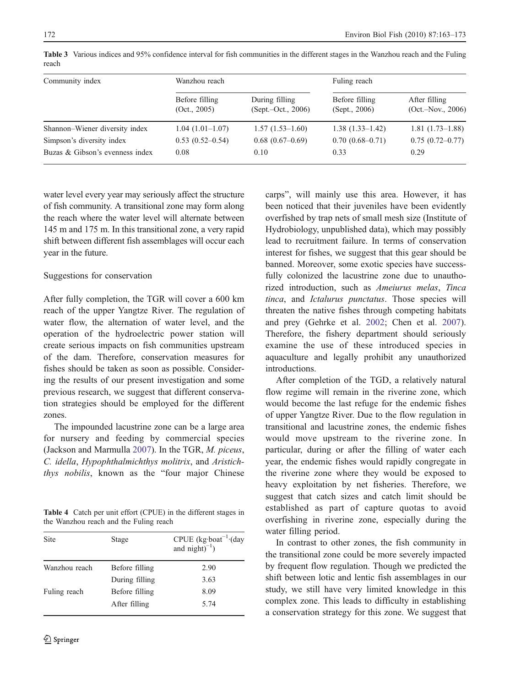| Community index                 | Wanzhou reach                  |                                        | Fuling reach                    |                                      |
|---------------------------------|--------------------------------|----------------------------------------|---------------------------------|--------------------------------------|
|                                 | Before filling<br>(Oct., 2005) | During filling<br>$(Sept.-Oct., 2006)$ | Before filling<br>(Sept., 2006) | After filling<br>$(Oct.-Nov., 2006)$ |
| Shannon-Wiener diversity index  | $1.04(1.01-1.07)$              | $1.57(1.53-1.60)$                      | $1.38(1.33 - 1.42)$             | $1.81(1.73-1.88)$                    |
| Simpson's diversity index       | $0.53(0.52-0.54)$              | $0.68(0.67-0.69)$                      | $0.70(0.68 - 0.71)$             | $0.75(0.72 - 0.77)$                  |
| Buzas & Gibson's evenness index | 0.08                           | 0.10                                   | 0.33                            | 0.29                                 |

<span id="page-9-0"></span>Table 3 Various indices and 95% confidence interval for fish communities in the different stages in the Wanzhou reach and the Fuling reach

water level every year may seriously affect the structure of fish community. A transitional zone may form along the reach where the water level will alternate between 145 m and 175 m. In this transitional zone, a very rapid shift between different fish assemblages will occur each year in the future.

# Suggestions for conservation

After fully completion, the TGR will cover a 600 km reach of the upper Yangtze River. The regulation of water flow, the alternation of water level, and the operation of the hydroelectric power station will create serious impacts on fish communities upstream of the dam. Therefore, conservation measures for fishes should be taken as soon as possible. Considering the results of our present investigation and some previous research, we suggest that different conservation strategies should be employed for the different zones.

The impounded lacustrine zone can be a large area for nursery and feeding by commercial species (Jackson and Marmulla [2007](#page-10-0)). In the TGR, M. piceus, C. idella, Hypophthalmichthys molitrix, and Aristichthys nobilis, known as the "four major Chinese

Table 4 Catch per unit effort (CPUE) in the different stages in the Wanzhou reach and the Fuling reach

| <b>Site</b>   | Stage          | CPUE $(kg \cdot boat^{-1} \cdot (day))$<br>and $night)^{-1}$ ) |
|---------------|----------------|----------------------------------------------------------------|
| Wanzhou reach | Before filling | 2.90                                                           |
|               | During filling | 3.63                                                           |
| Fuling reach  | Before filling | 8.09                                                           |
|               | After filling  | 5.74                                                           |

carps", will mainly use this area. However, it has been noticed that their juveniles have been evidently overfished by trap nets of small mesh size (Institute of Hydrobiology, unpublished data), which may possibly lead to recruitment failure. In terms of conservation interest for fishes, we suggest that this gear should be banned. Moreover, some exotic species have successfully colonized the lacustrine zone due to unauthorized introduction, such as Ameiurus melas, Tinca tinca, and Ictalurus punctatus. Those species will threaten the native fishes through competing habitats and prey (Gehrke et al. [2002;](#page-10-0) Chen et al. [2007\)](#page-10-0). Therefore, the fishery department should seriously examine the use of these introduced species in aquaculture and legally prohibit any unauthorized introductions.

After completion of the TGD, a relatively natural flow regime will remain in the riverine zone, which would become the last refuge for the endemic fishes of upper Yangtze River. Due to the flow regulation in transitional and lacustrine zones, the endemic fishes would move upstream to the riverine zone. In particular, during or after the filling of water each year, the endemic fishes would rapidly congregate in the riverine zone where they would be exposed to heavy exploitation by net fisheries. Therefore, we suggest that catch sizes and catch limit should be established as part of capture quotas to avoid overfishing in riverine zone, especially during the water filling period.

In contrast to other zones, the fish community in the transitional zone could be more severely impacted by frequent flow regulation. Though we predicted the shift between lotic and lentic fish assemblages in our study, we still have very limited knowledge in this complex zone. This leads to difficulty in establishing a conservation strategy for this zone. We suggest that